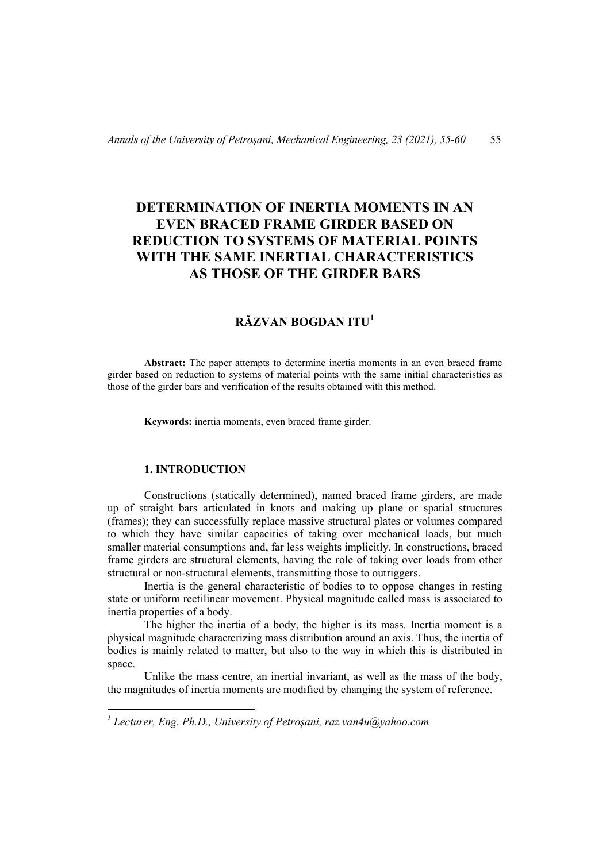# **DETERMINATION OF INERTIA MOMENTS IN AN EVEN BRACED FRAME GIRDER BASED ON REDUCTION TO SYSTEMS OF MATERIAL POINTS WITH THE SAME INERTIAL CHARACTERISTICS AS THOSE OF THE GIRDER BARS**

# **RĂZVAN BOGDAN ITU[1](#page-0-0)**

**Abstract:** The paper attempts to determine inertia moments in an even braced frame girder based on reduction to systems of material points with the same initial characteristics as those of the girder bars and verification of the results obtained with this method.

**Keywords:** inertia moments, even braced frame girder.

### **1. INTRODUCTION**

Constructions (statically determined), named braced frame girders, are made up of straight bars articulated in knots and making up plane or spatial structures (frames); they can successfully replace massive structural plates or volumes compared to which they have similar capacities of taking over mechanical loads, but much smaller material consumptions and, far less weights implicitly. In constructions, braced frame girders are structural elements, having the role of taking over loads from other structural or non-structural elements, transmitting those to outriggers.

Inertia is the general characteristic of bodies to to oppose changes in resting state or uniform rectilinear movement. Physical magnitude called mass is associated to inertia properties of a body.

The higher the inertia of a body, the higher is its mass. Inertia moment is a physical magnitude characterizing mass distribution around an axis. Thus, the inertia of bodies is mainly related to matter, but also to the way in which this is distributed in space.

Unlike the mass centre, an inertial invariant, as well as the mass of the body, the magnitudes of inertia moments are modified by changing the system of reference.

<span id="page-0-0"></span>*<sup>1</sup> Lecturer, Eng. Ph.D., University of Petroşani, raz.van4u@yahoo.com*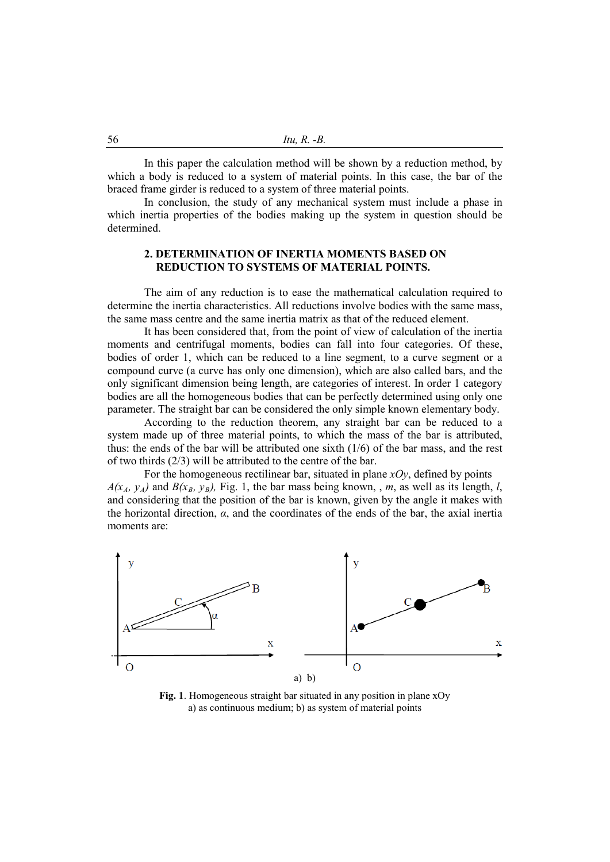In this paper the calculation method will be shown by a reduction method, by which a body is reduced to a system of material points. In this case, the bar of the braced frame girder is reduced to a system of three material points.

In conclusion, the study of any mechanical system must include a phase in which inertia properties of the bodies making up the system in question should be determined.

#### **2. DETERMINATION OF INERTIA MOMENTS BASED ON REDUCTION TO SYSTEMS OF MATERIAL POINTS.**

The aim of any reduction is to ease the mathematical calculation required to determine the inertia characteristics. All reductions involve bodies with the same mass, the same mass centre and the same inertia matrix as that of the reduced element.

It has been considered that, from the point of view of calculation of the inertia moments and centrifugal moments, bodies can fall into four categories. Of these, bodies of order 1, which can be reduced to a line segment, to a curve segment or a compound curve (a curve has only one dimension), which are also called bars, and the only significant dimension being length, are categories of interest. In order 1 category bodies are all the homogeneous bodies that can be perfectly determined using only one parameter. The straight bar can be considered the only simple known elementary body.

According to the reduction theorem, any straight bar can be reduced to a system made up of three material points, to which the mass of the bar is attributed, thus: the ends of the bar will be attributed one sixth (1/6) of the bar mass, and the rest of two thirds (2/3) will be attributed to the centre of the bar.

For the homogeneous rectilinear bar, situated in plane  $xOy$ , defined by points  $A(x_A, y_A)$  and  $B(x_B, y_B)$ , Fig. 1, the bar mass being known, , *m*, as well as its length, *l*, and considering that the position of the bar is known, given by the angle it makes with the horizontal direction,  $\alpha$ , and the coordinates of the ends of the bar, the axial inertia moments are:



**Fig. 1**. Homogeneous straight bar situated in any position in plane xOy a) as continuous medium; b) as system of material points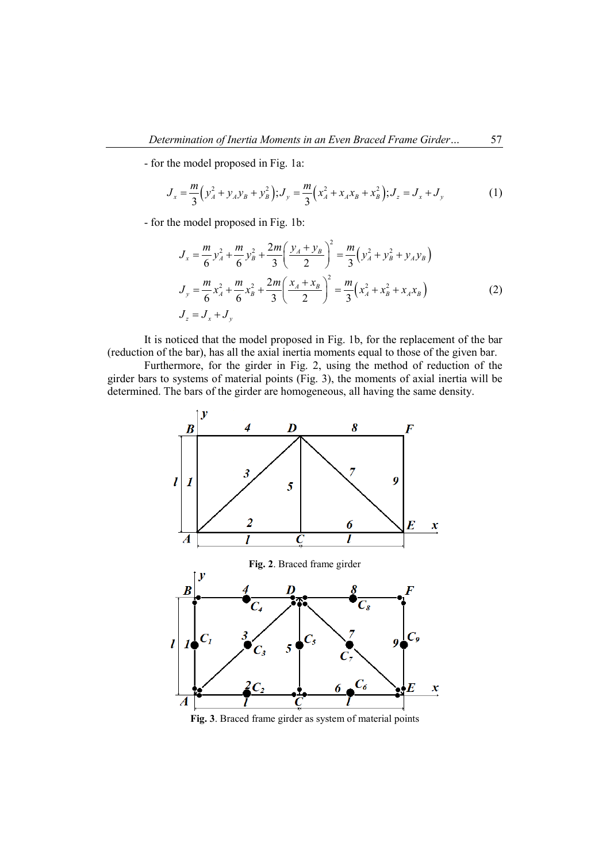- for the model proposed in Fig. 1a:

$$
J_x = \frac{m}{3} \left( y_A^2 + y_A y_B + y_B^2 \right); J_y = \frac{m}{3} \left( x_A^2 + x_A x_B + x_B^2 \right); J_z = J_x + J_y \tag{1}
$$

- for the model proposed in Fig. 1b:

$$
J_x = \frac{m}{6} y_A^2 + \frac{m}{6} y_B^2 + \frac{2m}{3} \left( \frac{y_A + y_B}{2} \right)^2 = \frac{m}{3} \left( y_A^2 + y_B^2 + y_A y_B \right)
$$
  
\n
$$
J_y = \frac{m}{6} x_A^2 + \frac{m}{6} x_B^2 + \frac{2m}{3} \left( \frac{x_A + x_B}{2} \right)^2 = \frac{m}{3} \left( x_A^2 + x_B^2 + x_A x_B \right)
$$
  
\n
$$
J_z = J_x + J_y
$$
\n(2)

It is noticed that the model proposed in Fig. 1b, for the replacement of the bar (reduction of the bar), has all the axial inertia moments equal to those of the given bar.

Furthermore, for the girder in Fig. 2, using the method of reduction of the girder bars to systems of material points (Fig. 3), the moments of axial inertia will be determined. The bars of the girder are homogeneous, all having the same density.



**Fig. 3**. Braced frame girder as system of material points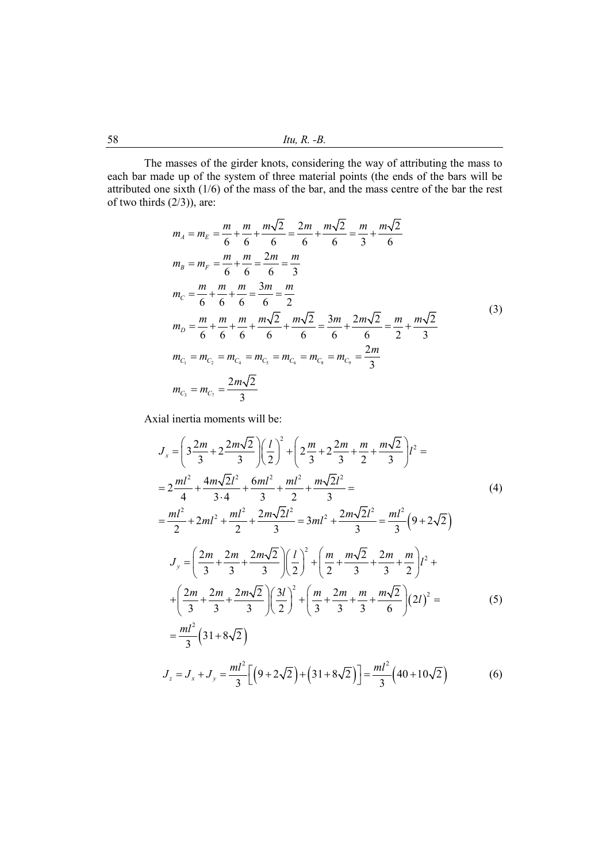58 *Itu, R. -B.*

The masses of the girder knots, considering the way of attributing the mass to each bar made up of the system of three material points (the ends of the bars will be attributed one sixth  $(1/6)$  of the mass of the bar, and the mass centre of the bar the rest of two thirds (2/3)), are:

$$
m_{A} = m_{E} = \frac{m}{6} + \frac{m}{6} + \frac{m\sqrt{2}}{6} = \frac{2m}{6} + \frac{m\sqrt{2}}{6} = \frac{m}{3} + \frac{m\sqrt{2}}{6}
$$
  
\n
$$
m_{B} = m_{F} = \frac{m}{6} + \frac{m}{6} = \frac{2m}{6} = \frac{m}{3}
$$
  
\n
$$
m_{C} = \frac{m}{6} + \frac{m}{6} + \frac{m}{6} = \frac{3m}{6} = \frac{m}{2}
$$
  
\n
$$
m_{D} = \frac{m}{6} + \frac{m}{6} + \frac{m}{6} + \frac{m\sqrt{2}}{6} + \frac{m\sqrt{2}}{6} = \frac{3m}{6} + \frac{2m\sqrt{2}}{6} = \frac{m}{2} + \frac{m\sqrt{2}}{3}
$$
  
\n
$$
m_{C_1} = m_{C_2} = m_{C_4} = m_{C_5} = m_{C_6} = m_{C_8} = m_{C_9} = \frac{2m}{3}
$$
  
\n
$$
m_{C_3} = m_{C_7} = \frac{2m\sqrt{2}}{3}
$$
 (3)

Axial inertia moments will be:

$$
J_x = \left(3\frac{2m}{3} + 2\frac{2m\sqrt{2}}{3}\right)\left(\frac{l}{2}\right)^2 + \left(2\frac{m}{3} + 2\frac{2m}{3} + \frac{m\sqrt{2}}{2}\right)l^2 =
$$
  
\n
$$
= 2\frac{ml^2}{4} + \frac{4m\sqrt{2}l^2}{3\cdot 4} + \frac{6ml^2}{3} + \frac{ml^2}{2} + \frac{m\sqrt{2}l^2}{3} =
$$
  
\n
$$
= \frac{ml^2}{2} + 2ml^2 + \frac{ml^2}{2} + \frac{2m\sqrt{2}l^2}{3} = 3ml^2 + \frac{2m\sqrt{2}l^2}{3} = \frac{ml^2}{3}\left(9 + 2\sqrt{2}\right)
$$
  
\n
$$
J_y = \left(\frac{2m}{3} + \frac{2m}{3} + \frac{2m\sqrt{2}}{3}\right)\left(\frac{l}{2}\right)^2 + \left(\frac{m}{2} + \frac{m\sqrt{2}}{3} + \frac{2m}{3} + \frac{m}{2}\right)l^2 +
$$
  
\n
$$
+ \left(\frac{2m}{3} + \frac{2m}{3} + \frac{2m\sqrt{2}}{3}\right)\left(\frac{3l}{2}\right)^2 + \left(\frac{m}{3} + \frac{2m}{3} + \frac{m}{3} + \frac{m\sqrt{2}}{6}\right)(2l)^2 =
$$
  
\n
$$
= \frac{ml^2}{3}\left(31 + 8\sqrt{2}\right)
$$
  
\n
$$
J_z = J_x + J_y = \frac{ml^2}{3}\left[\left(9 + 2\sqrt{2}\right) + \left(31 + 8\sqrt{2}\right)\right] = \frac{ml^2}{3}\left(40 + 10\sqrt{2}\right)
$$
 (6)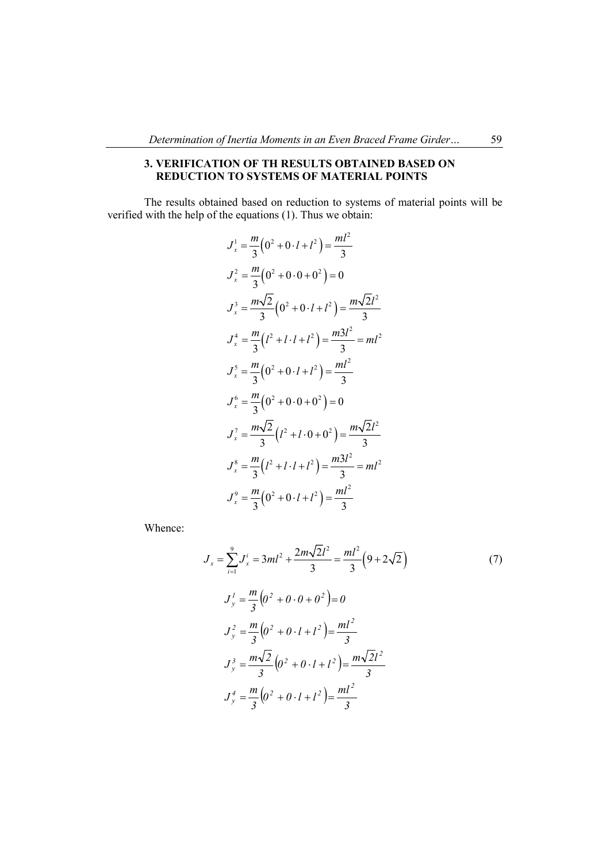### **3. VERIFICATION OF TH RESULTS OBTAINED BASED ON REDUCTION TO SYSTEMS OF MATERIAL POINTS**

The results obtained based on reduction to systems of material points will be verified with the help of the equations (1). Thus we obtain:

$$
J_x^1 = \frac{m}{3} (0^2 + 0 \cdot l + l^2) = \frac{ml^2}{3}
$$
  
\n
$$
J_x^2 = \frac{m}{3} (0^2 + 0 \cdot 0 + 0^2) = 0
$$
  
\n
$$
J_x^3 = \frac{m\sqrt{2}}{3} (0^2 + 0 \cdot l + l^2) = \frac{m\sqrt{2}l^2}{3}
$$
  
\n
$$
J_x^4 = \frac{m}{3} (l^2 + l \cdot l + l^2) = \frac{m3l^2}{3} = ml^2
$$
  
\n
$$
J_x^5 = \frac{m}{3} (0^2 + 0 \cdot l + l^2) = \frac{ml^2}{3}
$$
  
\n
$$
J_x^6 = \frac{m}{3} (0^2 + 0 \cdot 0 + 0^2) = 0
$$
  
\n
$$
J_x^7 = \frac{m\sqrt{2}}{3} (l^2 + l \cdot 0 + 0^2) = \frac{m\sqrt{2}l^2}{3}
$$
  
\n
$$
J_x^8 = \frac{m}{3} (l^2 + l \cdot l + l^2) = \frac{m3l^2}{3} = ml^2
$$
  
\n
$$
J_x^9 = \frac{m}{3} (0^2 + 0 \cdot l + l^2) = \frac{ml^2}{3}
$$

Whence:

$$
J_x = \sum_{i=1}^{9} J_x^i = 3ml^2 + \frac{2m\sqrt{2}l^2}{3} = \frac{ml^2}{3} \left(9 + 2\sqrt{2}\right)
$$
  
\n
$$
J_y^1 = \frac{m}{3} \left(0^2 + 0 \cdot 0 + 0^2\right) = 0
$$
  
\n
$$
J_y^2 = \frac{m}{3} \left(0^2 + 0 \cdot l + l^2\right) = \frac{ml^2}{3}
$$
  
\n
$$
J_y^3 = \frac{m\sqrt{2}}{3} \left(0^2 + 0 \cdot l + l^2\right) = \frac{m\sqrt{2}l^2}{3}
$$
  
\n
$$
J_y^4 = \frac{m}{3} \left(0^2 + 0 \cdot l + l^2\right) = \frac{ml^2}{3}
$$
 (10)